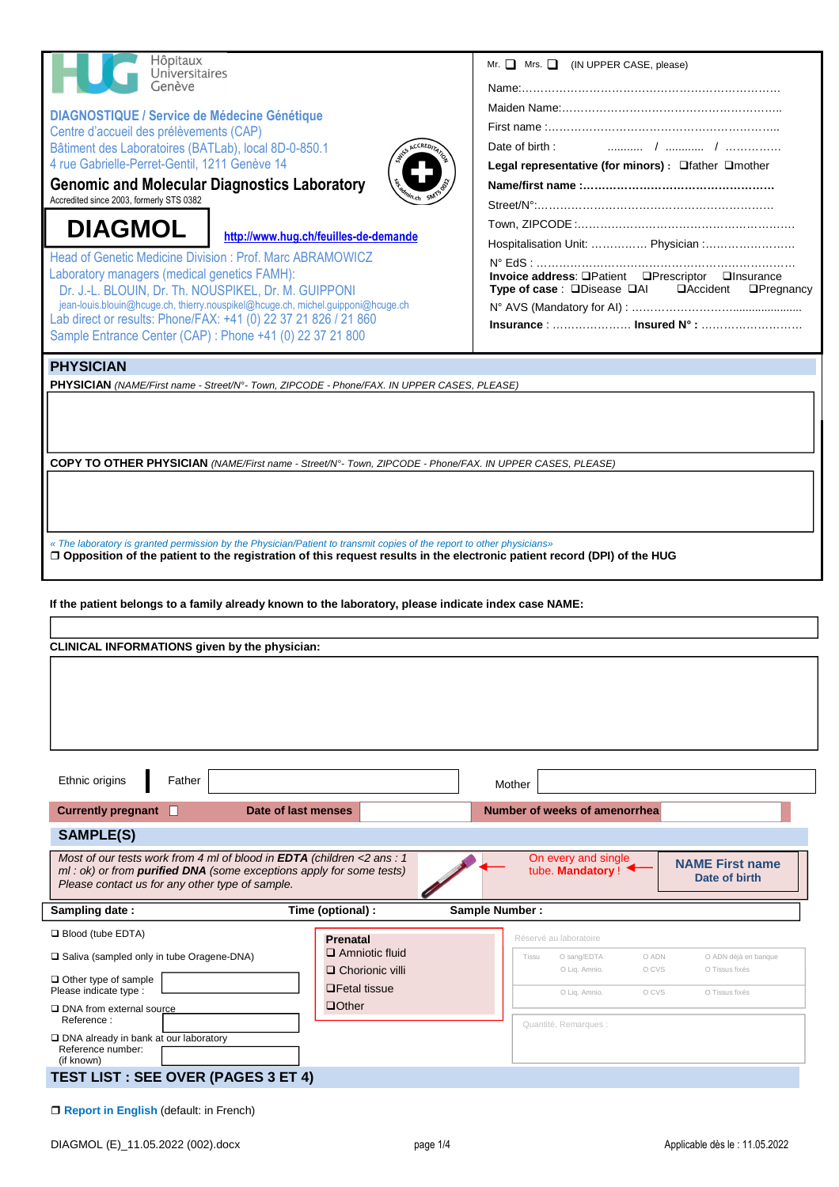| Hôpitaux<br>Universitaires<br>Genève                                                                                                                                                                                                                    | Mr. $\Box$ Mrs. $\Box$ (IN UPPER CASE, please)               |
|---------------------------------------------------------------------------------------------------------------------------------------------------------------------------------------------------------------------------------------------------------|--------------------------------------------------------------|
|                                                                                                                                                                                                                                                         |                                                              |
|                                                                                                                                                                                                                                                         |                                                              |
|                                                                                                                                                                                                                                                         |                                                              |
| <b>DIAGNOSTIQUE / Service de Médecine Génétique</b><br>Centre d'accueil des prélèvements (CAP)                                                                                                                                                          |                                                              |
| Bâtiment des Laboratoires (BATLab), local 8D-0-850.1                                                                                                                                                                                                    | Date of birth:                                               |
| 4 rue Gabrielle-Perret-Gentil, 1211 Genève 14                                                                                                                                                                                                           | Legal representative (for minors) : Ofather Omother          |
| <b>Genomic and Molecular Diagnostics Laboratory</b>                                                                                                                                                                                                     |                                                              |
| Accredited since 2003, formerly STS 0382                                                                                                                                                                                                                |                                                              |
|                                                                                                                                                                                                                                                         |                                                              |
| <b>DIAGMOL</b><br>http://www.hug.ch/feuilles-de-demande                                                                                                                                                                                                 | Hospitalisation Unit:  Physician :                           |
| <b>Head of Genetic Medicine Division: Prof. Marc ABRAMOWICZ</b>                                                                                                                                                                                         |                                                              |
| Laboratory managers (medical genetics FAMH):                                                                                                                                                                                                            | Invoice address: OPatient OPrescriptor OInsurance            |
| Dr. J.-L. BLOUIN, Dr. Th. NOUSPIKEL, Dr. M. GUIPPONI<br>jean-louis.blouin@hcuge.ch, thierry.nouspikel@hcuge.ch, michel.guipponi@hcuge.ch                                                                                                                | Type of case : □Disease □AI<br>□Accident<br>$\Box$ Pregnancy |
| Lab direct or results: Phone/FAX: +41 (0) 22 37 21 826 / 21 860                                                                                                                                                                                         |                                                              |
| Sample Entrance Center (CAP) : Phone +41 (0) 22 37 21 800                                                                                                                                                                                               |                                                              |
|                                                                                                                                                                                                                                                         |                                                              |
| <b>PHYSICIAN</b><br>PHYSICIAN (NAME/First name - Street/N°- Town, ZIPCODE - Phone/FAX. IN UPPER CASES, PLEASE)                                                                                                                                          |                                                              |
|                                                                                                                                                                                                                                                         |                                                              |
|                                                                                                                                                                                                                                                         |                                                              |
|                                                                                                                                                                                                                                                         |                                                              |
|                                                                                                                                                                                                                                                         |                                                              |
| COPY TO OTHER PHYSICIAN (NAME/First name - Street/N°- Town, ZIPCODE - Phone/FAX. IN UPPER CASES, PLEASE)                                                                                                                                                |                                                              |
|                                                                                                                                                                                                                                                         |                                                              |
|                                                                                                                                                                                                                                                         |                                                              |
|                                                                                                                                                                                                                                                         |                                                              |
| « The laboratory is granted permission by the Physician/Patient to transmit copies of the report to other physicians»<br>$\Box$ Opposition of the patient to the registration of this request results in the electronic patient record (DPI) of the HUG |                                                              |
|                                                                                                                                                                                                                                                         |                                                              |
| If the patient belongs to a family already known to the laboratory, please indicate index case NAME:<br>CLINICAL INFORMATIONS given by the physician:                                                                                                   |                                                              |
|                                                                                                                                                                                                                                                         |                                                              |
|                                                                                                                                                                                                                                                         |                                                              |
|                                                                                                                                                                                                                                                         |                                                              |
|                                                                                                                                                                                                                                                         |                                                              |
|                                                                                                                                                                                                                                                         |                                                              |
|                                                                                                                                                                                                                                                         |                                                              |
|                                                                                                                                                                                                                                                         |                                                              |
|                                                                                                                                                                                                                                                         |                                                              |
| Ethnic origins<br>Father                                                                                                                                                                                                                                | Mother                                                       |
| <b>Currently pregnant</b><br>Date of last menses<br>$\sqrt{2}$                                                                                                                                                                                          | Number of weeks of amenorrhea                                |
| <b>SAMPLE(S)</b>                                                                                                                                                                                                                                        |                                                              |
| Most of our tests work from 4 ml of blood in EDTA (children <2 ans : 1                                                                                                                                                                                  | On every and single                                          |
| $ml : ok$ ) or from <b>purified DNA</b> (some exceptions apply for some tests)                                                                                                                                                                          | <b>NAME First name</b><br>tube. Mandatory!<br>Date of birth  |
| Please contact us for any other type of sample.                                                                                                                                                                                                         |                                                              |
| Sampling date:<br>Time (optional) :                                                                                                                                                                                                                     | Sample Number:                                               |
| $\Box$ Blood (tube EDTA)<br><b>Prenatal</b>                                                                                                                                                                                                             | Réservé au laboratoire                                       |
| $\Box$ Amniotic fluid<br>□ Saliva (sampled only in tube Oragene-DNA)                                                                                                                                                                                    | O sang/EDTA<br>O ADN<br>O ADN déjà en banque<br>Tissu        |
| $\Box$ Chorionic villi<br>$\Box$ Other type of sample                                                                                                                                                                                                   | O Liq. Amnio.<br>O CVS<br>O Tissus fixés                     |
| $\Box$ Fetal tissue<br>Please indicate type :                                                                                                                                                                                                           | O Liq. Amnio.<br>O CVS<br>O Tissus fixés                     |
| $\Box$ Other<br>□ DNA from external source<br>Reference:                                                                                                                                                                                                |                                                              |
| $\Box$ DNA already in bank at our laboratory                                                                                                                                                                                                            | Quantité, Remarques :                                        |
| Reference number:                                                                                                                                                                                                                                       |                                                              |
| (if known)                                                                                                                                                                                                                                              |                                                              |
| <b>TEST LIST : SEE OVER (PAGES 3 ET 4)</b>                                                                                                                                                                                                              |                                                              |
| $\Box$ Report in English (default: in French)                                                                                                                                                                                                           |                                                              |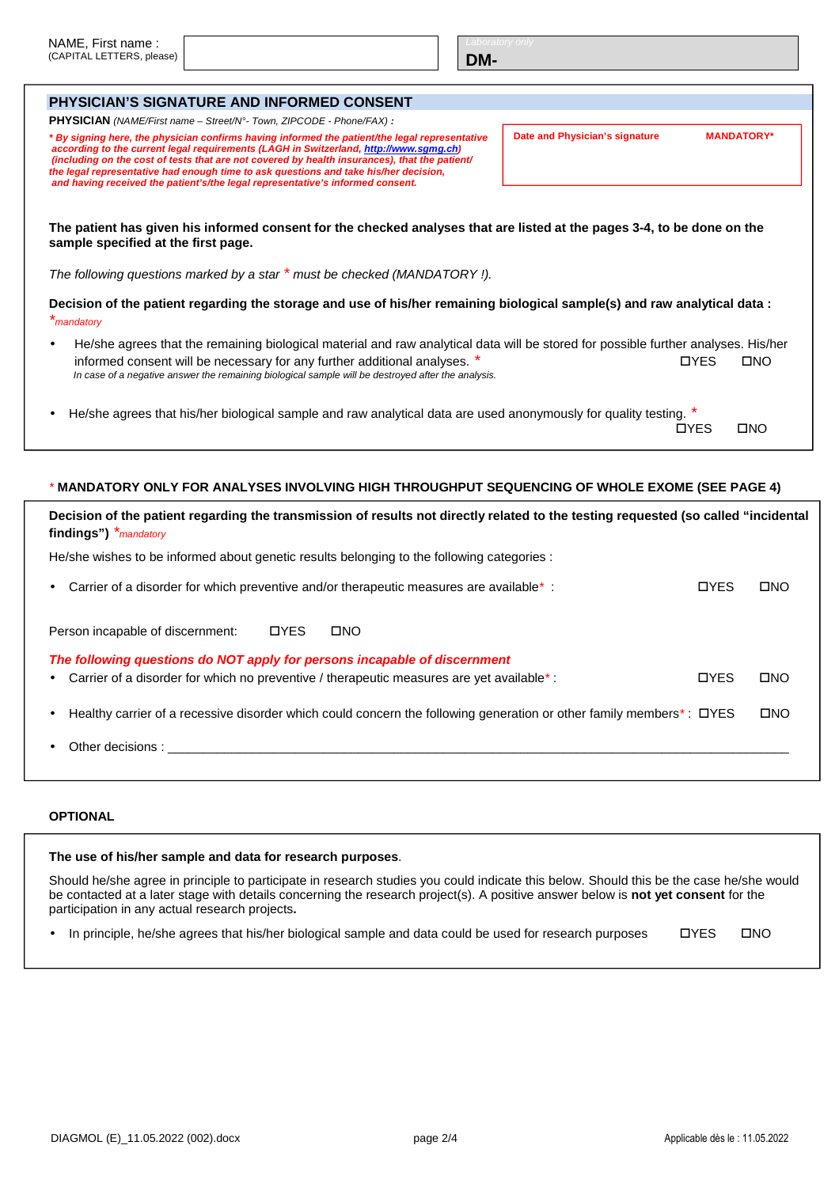| NAME, First name:         |
|---------------------------|
| (CAPITAL LETTERS, please) |

**DM-**

|           | <b>PHYSICIAN'S SIGNATURE AND INFORMED CONSENT</b>                                                                                                                                                                                                                                                                                                                                                                                                                  |                                |                   |  |  |
|-----------|--------------------------------------------------------------------------------------------------------------------------------------------------------------------------------------------------------------------------------------------------------------------------------------------------------------------------------------------------------------------------------------------------------------------------------------------------------------------|--------------------------------|-------------------|--|--|
|           | <b>PHYSICIAN</b> (NAME/First name - Street/N°- Town, ZIPCODE - Phone/FAX) :                                                                                                                                                                                                                                                                                                                                                                                        |                                |                   |  |  |
|           | * By signing here, the physician confirms having informed the patient/the legal representative<br>according to the current legal requirements (LAGH in Switzerland, http://www.sgmg.ch)<br>(including on the cost of tests that are not covered by health insurances), that the patient/<br>the legal representative had enough time to ask questions and take his/her decision,<br>and having received the patient's/the legal representative's informed consent. | Date and Physician's signature | <b>MANDATORY*</b> |  |  |
|           | The patient has given his informed consent for the checked analyses that are listed at the pages 3-4, to be done on the<br>sample specified at the first page.<br>The following questions marked by a star * must be checked (MANDATORY !).                                                                                                                                                                                                                        |                                |                   |  |  |
|           |                                                                                                                                                                                                                                                                                                                                                                                                                                                                    |                                |                   |  |  |
|           | Decision of the patient regarding the storage and use of his/her remaining biological sample(s) and raw analytical data:<br>*mandatory                                                                                                                                                                                                                                                                                                                             |                                |                   |  |  |
| $\bullet$ | He/she agrees that the remaining biological material and raw analytical data will be stored for possible further analyses. His/her<br>informed consent will be necessary for any further additional analyses. *<br>In case of a negative answer the remaining biological sample will be destroyed after the analysis.                                                                                                                                              | <b>OYES</b>                    | $\square$ NO      |  |  |
|           | He/she agrees that his/her biological sample and raw analytical data are used anonymously for quality testing.                                                                                                                                                                                                                                                                                                                                                     | <b>TIYES</b>                   | <b>CINO</b>       |  |  |

## \* **MANDATORY ONLY FOR ANALYSES INVOLVING HIGH THROUGHPUT SEQUENCING OF WHOLE EXOME (SEE PAGE 4)**

| Decision of the patient regarding the transmission of results not directly related to the testing requested (so called "incidental<br>findings") *mandatory                                                                   |             |  |  |  |
|-------------------------------------------------------------------------------------------------------------------------------------------------------------------------------------------------------------------------------|-------------|--|--|--|
| He/she wishes to be informed about genetic results belonging to the following categories :                                                                                                                                    |             |  |  |  |
| Carrier of a disorder for which preventive and/or therapeutic measures are available *:<br><b>OYES</b>                                                                                                                        | <b>OND</b>  |  |  |  |
| <b>OYES</b><br><b>DNO</b><br>Person incapable of discernment:                                                                                                                                                                 |             |  |  |  |
| The following questions do NOT apply for persons incapable of discernment                                                                                                                                                     |             |  |  |  |
| <b>OYES</b><br>Carrier of a disorder for which no preventive / therapeutic measures are yet available *:                                                                                                                      | <b>OND</b>  |  |  |  |
| Healthy carrier of a recessive disorder which could concern the following generation or other family members*: DYES                                                                                                           | <b>COND</b> |  |  |  |
| Other decisions: The contract of the contract of the contract of the contract of the contract of the contract of the contract of the contract of the contract of the contract of the contract of the contract of the contract |             |  |  |  |
|                                                                                                                                                                                                                               |             |  |  |  |

## **OPTIONAL**

| The use of his/her sample and data for research purposes.                                                                                                                                                                                                                                                                             |             |             |
|---------------------------------------------------------------------------------------------------------------------------------------------------------------------------------------------------------------------------------------------------------------------------------------------------------------------------------------|-------------|-------------|
| Should he/she agree in principle to participate in research studies you could indicate this below. Should this be the case he/she would<br>be contacted at a later stage with details concerning the research project(s). A positive answer below is <b>not yet consent</b> for the<br>participation in any actual research projects. |             |             |
| In principle, he/she agrees that his/her biological sample and data could be used for research purposes                                                                                                                                                                                                                               | <b>OYES</b> | <b>CINO</b> |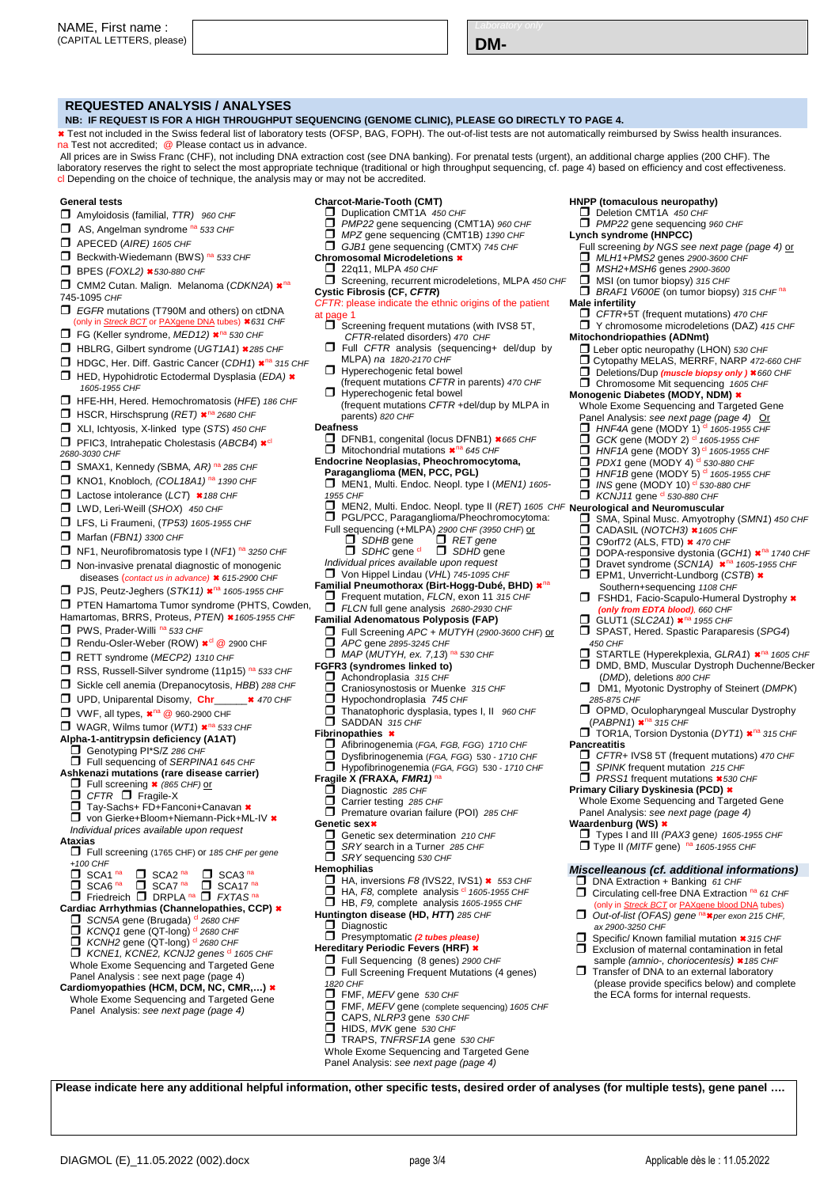| NAME.<br>. First name :   |  |     |
|---------------------------|--|-----|
| (CAPITAL LETTERS, please) |  | ו⊿ו |

### **REQUESTED ANALYSIS / ANALYSES**

**NB: IF REQUEST IS FOR A HIGH THROUGHPUT SEQUENCING (GENOME CLINIC), PLEASE GO DIRECTLY TO PAGE 4.** 

 Test not included in the Swiss federal list of laboratory tests (OFSP, BAG, FOPH). The out-of-list tests are not automatically reimbursed by Swiss health insurances. na Test not accredited; @ Please contact us in advance.

 All prices are in Swiss Franc (CHF), not including DNA extraction cost (see DNA banking). For prenatal tests (urgent), an additional charge applies (200 CHF). The laboratory reserves the right to select the most appropriate technique (traditional or high throughput sequencing, cf. page 4) based on efficiency and cost effectiveness. cl Depending on the choice of technique, the analysis may or may not be accredited.

#### **General tests**

- $\Box$  Amyloidosis (familial, TTR) 960 CHF
- $\Box$  AS, Angelman syndrome  $n^2$  533 CHF
- **APECED** (AIRE) 1605 CHF
- $\Box$  Beckwith-Wiedemann (BWS)  $n^2$  533 CHF
- $\Box$  BPES (FOXL2)  $\star$  530-880 CHF
- CMM2 Cutan. Malign. Melanoma (CDKN2A) \*<sup>na</sup> 745-1095 CHF
- $\Box$  EGFR mutations (T790M and others) on ctDNA
- nly in Streck BCT or PAXgene DNA tubes) \*631 CHF
- $\Box$  FG (Keller syndrome, MED12)  $\times$ <sup>na</sup> 530 CHF
- $\Box$  HBLRG, Gilbert syndrome (UGT1A1) \*285 CHF
- $\Box$  HDGC, Her. Diff. Gastric Cancer (CDH1)  $\star$ <sup>na</sup> 315 CHF  $\Box$  HED, Hypohidrotic Ectodermal Dysplasia (EDA)  $\star$ 1605-1955 CHF
- HFE-HH, Hered. Hemochromatosis (HFE) 186 CHF
- $\Box$  HSCR, Hirschsprung (RET)  $\star$ <sup>na</sup> 2680 CHF
- XLI, Ichtyosis, X-linked type (STS) 450 CHF
- **PFIC3, Intrahepatic Cholestasis (ABCB4)**  $\star$ <sup>cl</sup>
- 2680-3030 CHF
- $\Box$  SMAX1, Kennedy (SBMA, AR) <sup>na</sup> 285 CHF
- KNO1, Knobloch, (COL18A1)<sup>na</sup> 1390 CHF
- $\Box$  Lactose intolerance (LCT)  $*$  188 CHF
- 
- **LWD, Leri-Weill (SHOX)** 450 CHF
- **LFS, Li Fraumeni, (TP53) 1605-1955 CHF**
- Marfan (FBN1) 3300 CHF
- $\Box$  NF1, Neurofibromatosis type I (NF1) na 3250 CHF
- □ Non-invasive prenatal diagnostic of monogenic
- diseases (contact us in advance) \* 615-2900 CHF
- **PJS, Peutz-Jeghers (STK11)**  $\star$ **<sup>na</sup> 1605-1955 CHF**
- **T** PTEN Hamartoma Tumor syndrome (PHTS, Cowden,
- Hamartomas, BRRS, Proteus, PTEN) \* 1605-1955 CHF
- **PWS, Prader-Willi na 533 CHF**
- Rendu-Osler-Weber (ROW) \*<sup>cl</sup> @ 2900 CHF
- RETT syndrome (MECP2) 1310 CHF
- □ RSS, Russell-Silver syndrome (11p15) na 533 CHF
- Sickle cell anemia (Drepanocytosis, HBB) 288 CHF
- UPD, Uniparental Disomy, **Chr**\_\_\_\_\_\_ 470 CHF
- $\Box$  VWF, all types,  $\star$ <sup>na</sup> @ 960-2900 CHF
- $\Box$  WAGR, Wilms tumor (WT1)  $\star$ <sup>na</sup> 533 CHF
- **Alpha-1-antitrypsin deficiency (A1AT)**
- 
- Fra Tanna y perir acrictoricy (XIXII)<br>□ Genotyping PI\*S/Z 286 CHF<br>□ Full sequencing of SERPINA1 645 CHF
- **Ashkenazi mutations (rare disease carrier)**   $\Box$  Full screening  $\star$  (865 CHF) or
	- $\Box$  CFTR  $\Box$  Fragile-X
	- Tay-Sachs+ FD+Fanconi+Canavan \*
- □ von Gierke+Bloom+Niemann-Pick+ML-IV \*
- Individual prices available upon request
- **Ataxias**
- Full screening (1765 CHF) or 185 CHF per gene  $+100$  CHF
- $\overline{\Box}$  SCA1 na  $\overline{\Box}$  SCA2 na  $\Box$  SCA3 na
- $\overline{\Box}$  SCA6 na  $\overline{\Box}$  SCA7 na  $\overline{\Box}$  SCA17 na  $\Box$  Friedreich  $\Box$  DRPLA na  $\Box$  FXTAS na
- **Cardiac Arrhythmias (Channelopathies, CCP)**
- SCN5A gene (Brugada) <sup>cl</sup> 2680 CHF
- $\Box$  KCNQ1 gene (QT-long) <sup>cl</sup> 2680 CHF<br>  $\Box$  KCNH2 gene (QT-long) <sup>cl</sup> 2680 CHF
- 
- $\Box$  KCNE1, KCNE2, KCNJ2 genes  $\alpha$  1605 CHF Whole Exome Sequencing and Targeted Gene
- Panel Analysis : see next page (page 4) **Cardiomyopathies (HCM, DCM, NC, CMR,…)**
- Whole Exome Sequencing and Targeted Gene Panel Analysis: see next page (page 4)

#### **Charcot-Marie-Tooth (CMT)**

- Duplication CMT1A 450 CHF
- $\Box$  PMP22 gene sequencing (CMT1A) 960 CHF
- MPZ gene sequencing (CMT1B) 1390 CHF  $\Box$  GJB1 gene sequencing (CMTX) 745 CHF
- 
- **Chromosomal Microdeletions**  22q11, MLPA 450 CHF
	-
- $\square$  Screening, recurrent microdeletions, MLPA 450 CHF **Cystic Fibrosis (CF, CFTR)**

**HNPP (tomaculous neuropathy)**   $\Box$  Deletion CMT1A 450 CHF **PMP22** gene sequencing 960 CHF

**MSH2+MSH6** genes 2900-3600  $\Box$  MSI (on tumor biopsy) 315 CHF

Full screening *by NGS see next page (page 4) <u>or</u><br>□ MLH1+PMS2 genes 2900-3600 CHF* 

 $\Box$  BRAF1 V600E (on tumor biopsy) 315 CHF<sup>na</sup>

Whole Exome Sequencing and Targeted Gene Panel Analysis: see next page (page 4) Or<br>□ HNF4A gene (MODY 1)<sup>d</sup> 1605-1955 CHF<br>□ GCK gene (MODY 2)<sup>d</sup> 1605-1955 CHF  $\Box$  HNF1A gene (MODY 3) <sup>cl</sup> 1605-1955 CHF<br> $\Box$  PDX1 gene (MODY 4) <sup>cl</sup> 530-880 CHF  $D$  *PDX1* gene (MODY 4) <sup>cl</sup> 530-880 CHF<br>  $D$  *HNF1B* gene (MODY 5) <sup>cl</sup> 1605-1955 C<br>  $D$  *INS* gene (MODY 10) <sup>cl</sup> 530-880 CHF HNF1B gene (MODY 5) <sup>cl</sup> 1605-1955 CHF INS gene (MODY 10) <sup>d</sup> 530-880 CHF  $\Box$  KCNJ11 gene  $\mathrm{^{cl}}$  530-880 CHF

 $\Box$  SMA, Spinal Musc. Amyotrophy (SMN1) 450 CHF<br> $\Box$  CADASIL (NOTCH3) \* 1605 CHF

**DOPA-responsive dystonia (GCH1)**  $\mathbb{R}^{n_a}$  1740 CHF<br>
Dravet syndrome (SCN14)  $\mathbb{R}^{n_a}$  1605-1955 CHF **D** Dravet syndrome (SCN1A)  $\star$ <sup>na</sup> 1605-1955 CHF<br> **D** EPM1. Unverricht-Lundborg (CSTB)  $\star$ EPM1, Unverricht-Lundborg (CSTB) \* Southern+sequencing 1108 CHF<br>■ FSHD1, Facio-Scapulo-Humeral Dystrophy <sup>\*</sup> **(only from EDTA blood)**, 660 CHF GLUT1 (SLC2A1)  $\star$ <sup>na</sup> 1955 CHF  $\Box$  SPAST, Hered. Spastic Paraparesis (SPG4)

**□** STARTLE (Hyperekplexia, *GLRA1*) \*<sup>na</sup> 1605 CHF<br>□ DMD, BMD, Muscular Dystroph Duchenne/Becker

DM1, Myotonic Dystrophy of Steinert (DMPK)

OPMD, Oculopharyngeal Muscular Dystrophy (*PABPN1*) <sup>\*</sup><sup>na</sup> 315 CHF<br>□ TOR1A, Torsion Dystonia (DYT1) \*<sup>na</sup> 315 CHF

CFTR+ IVS8 5T (frequent mutations) 470 CHF SPINK frequent mutation 215 CHF  $\Box$  SPINK frequent mutation 215 CHF  $\Box$  PRSS1 frequent mutations  $\star$  530 CHF **Primary Ciliary Dyskinesia (PCD)** 

Whole Exome Sequencing and Targeted Gene Panel Analysis: see next page (page 4) **Waardenburg (WS)**  Types I and III (PAX3 gene) 1605-1955 CHF  $\Box$  Type II (MITF gene)  $n^2$  1605-1955 CHF

**Miscelleanous (cf. additional informations)** 

Specific/ Known familial mutation \*315 CHF Exclusion of maternal contamination in fetal sample (amnio-, choriocentesis) \* 185 CHF Transfer of DNA to an external laboratory (please provide specifics below) and complete the ECA forms for internal requests.

DINA Extraction + Banking 61 CHF Circulating cell-free DNA Extraction na 61 CHF (only in Streck BCT or PAXgene blood DNA tubes)<br>
□ Out-of-list (OFAS) gene na **\*** per exon 215 CHF,

ax 2900-3250 CHF

CADASIL (NOTCH3) \* 1605 CHF  $\Box$  C9orf72 (ALS, FTD)  $\star$  470 CHF

(DMD), deletions 800 CHF

CFTR+5T (frequent mutations) 470 CHF **D** Y chromosome microdeletions (DAZ) 415 CHF<br>**Mitochondriopathies (ADNmt)** Leber optic neuropathy (LHON) 530 CHF Cytopathy MELAS, MERRF, NARP 472-660 CHF Deletions/Dup (muscle biopsy only ) \*660 CHF Chromosome Mit sequencing 1605 CHF **Monogenic Diabetes (MODY, NDM)** 

**Lynch syndrome (HNPCC)** 

**Male infertility** 

450 CHF

285-875 CHF

**Pancreatitis** 

- CFTR: please indicate the ethnic origins of the patient ane  $1$ 
	- $\Box$  Screening frequent mutations (with IVS8 5T, CFTR-related disorders) 470 CHF
	- □ Full CFTR analysis (sequencing+ del/dup by
	- MLPA) na 1820-2170 CHF
	- $\Box$  Hyperechogenic fetal bowel
	- (frequent mutations CFTR in parents) 470 CHF  $\Box$  Hyperechogenic fetal bowel
- (frequent mutations CFTR +del/dup by MLPA in parents) 820 CHF
- **Deafness**
- **□ DFNB1, congenital (locus DFNB1) ×665 CHF**<br>□ Mitochondrial mutations ×<sup>na</sup> 645 CHF
- **Endocrine Neoplasias, Pheochromocytoma,** 
	- **Paraganglioma (MEN, PCC, PGL)**
- MEN1, Multi. Endoc. Neopl. type I (MEN1) 1605- 1955 CHF
- MEN2, Multi. Endoc. Neopl. type II (RET) 1605 CHF **Neurological and Neuromuscular**
- $\Box$  PGL/PCC, Paraganglioma/Pheochromocytoma:
- Full sequencing (+MLPA) 2900 CHF (3950 CHF) or  $\Box$  SDHB gene  $\Box$  RET gene
	- OD SDHC gene<sup>d</sup>  $\overline{\overline{}}$  RET gene
- Individual prices available upon request
- Von Hippel Lindau (VHL) 745-1095 CHF
- Familial Pneumothorax (Birt-Hogg-Dubé, BHD) \*<sup>na</sup>
	- Frequent mutation, FLCN, exon 11 315 CHF
- FLCN full gene analysis 2680-2930 CHF
- **Familial Adenomatous Polyposis (FAP)** 
	- $\Box$  Full Screening APC + MUTYH (2900-3600 CHF) or<br> $\Box$  APC gene 2895-3245 CHF APC gene 2895-3245 CHF
- $\Box$  MAP (MUTYH, ex. 7,13) na 530 CHF **FGFR3 (syndromes linked to)**
- 
- $\Box$  Achondroplasia 315 CHF<br> $\Box$  Craniosynostosis or Mue
- $\Box$  Craniosynostosis or Muenke 315 CHF<br> $\Box$  Hypochondroplasia 745 CHF Hypochondroplasia 745 CHF
- $\Box$  Thanatophoric dysplasia, types I, II 960 CHF
- SADDAN 315 CHF Afibrinogenemia (FGA, FGB, FGG) 1710 CHF

Premature ovarian failure (POI) 285 CHF

 HA, inversions F8 (IVS22, IVS1) 553 CHF HA, F8, complete analysis cl 1605-1955 CHF  $\Box$  HB, F9, complete analysis 1605-1955 CHF **Huntington disease (HD, HTT)** 285 CHF

FMF, MEFV gene (complete sequencing) 1605 CHF

 $\Box$  Genetic sex determination 210 CHF  $\Box$  Sonotic Cox docummation  $\Box$  is on SRY sequencing 530 CHF

Dysfibrinogenemia (FGA, FGG) 530 - 1710 CHF Hypofibrinogenemia (FGA, FGG) 530 - 1710 CHF

DIAGMOL (E)\_11.05.2022 (002).docx page 3/4 Applicable dès le : 11.05.2022

**Please indicate here any additional helpful information, other specific tests, desired order of analyses (for multiple tests), gene panel ….** 

**Fibrinopathies** 

**Genetic sex**

**Hemophilias** 

1820 CHF

Diagnostic

**Presymptomatic (2 tube Hereditary Periodic Fevers (HRF)**  Full Sequencing (8 genes) 2900 CHF **T** Full Screening Frequent Mutations (4 genes)

 $\Box$  FMF, MEFV gene 530 CHF

CAPS, NLRP3 gene 530 CHF HIDS, MVK gene 530 CHF TRAPS, TNFRSF1A gene 530 CHF Whole Exome Sequencing and Targeted Gene Panel Analysis: see next page (page 4)

**Fragile X (FRAXA, FMR1)**  $\Box$  Diagnostic 285 CHF<br> $\Box$  Carrier testing 285 0 Carrier testing 285 CHF